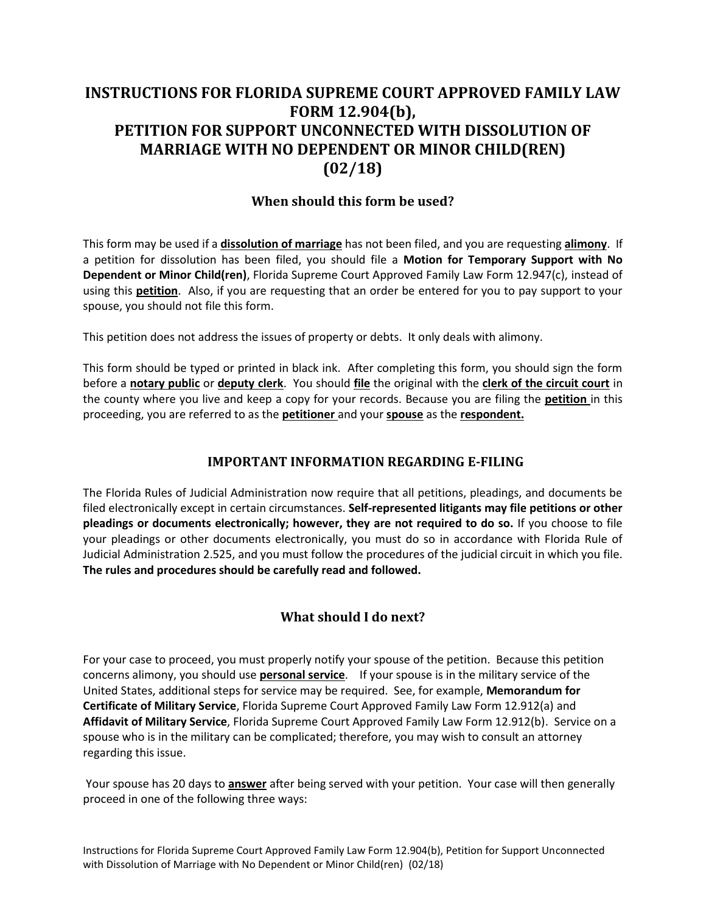# **FORM 12.904(b), INSTRUCTIONS FOR FLORIDA SUPREME COURT APPROVED FAMILY LAW PETITION FOR SUPPORT UNCONNECTED WITH DISSOLUTION OF MARRIAGE WITH NO DEPENDENT OR MINOR CHILD(REN) (02/18)**

## **When should this form be used?**

 This form may be used if a **dissolution of marriage** has not been filed, and you are requesting **alimony**. If a petition for dissolution has been filed, you should file a **Motion for Temporary Support with No Dependent or Minor Child(ren)**, Florida Supreme Court Approved Family Law Form 12.947(c), instead of using this **petition**. Also, if you are requesting that an order be entered for you to pay support to your spouse, you should not file this form.

This petition does not address the issues of property or debts. It only deals with alimony.

 This form should be typed or printed in black ink. After completing this form, you should sign the form before a **notary public** or **deputy clerk**. You should **file** the original with the **clerk of the circuit court** in the county where you live and keep a copy for your records. Because you are filing the **petition** in this proceeding, you are referred to as the **petitioner** and your **spouse** as the **respondent.** 

#### **IMPORTANT INFORMATION REGARDING E-FILING**

 The Florida Rules of Judicial Administration now require that all petitions, pleadings, and documents be  **pleadings or documents electronically; however, they are not required to do so.** If you choose to file your pleadings or other documents electronically, you must do so in accordance with Florida Rule of Judicial Administration 2.525, and you must follow the procedures of the judicial circuit in which you file. filed electronically except in certain circumstances. **Self-represented litigants may file petitions or other The rules and procedures should be carefully read and followed.** 

## **What should I do next?**

 **Certificate of Military Service**, Florida Supreme Court Approved Family Law Form 12.912(a) and spouse who is in the military can be complicated; therefore, you may wish to consult an attorney For your case to proceed, you must properly notify your spouse of the petition. Because this petition concerns alimony, you should use **personal service**. If your spouse is in the military service of the United States, additional steps for service may be required. See, for example, **Memorandum for Affidavit of Military Service**, Florida Supreme Court Approved Family Law Form 12.912(b). Service on a regarding this issue.

 Your spouse has 20 days to **answer** after being served with your petition. Your case will then generally proceed in one of the following three ways: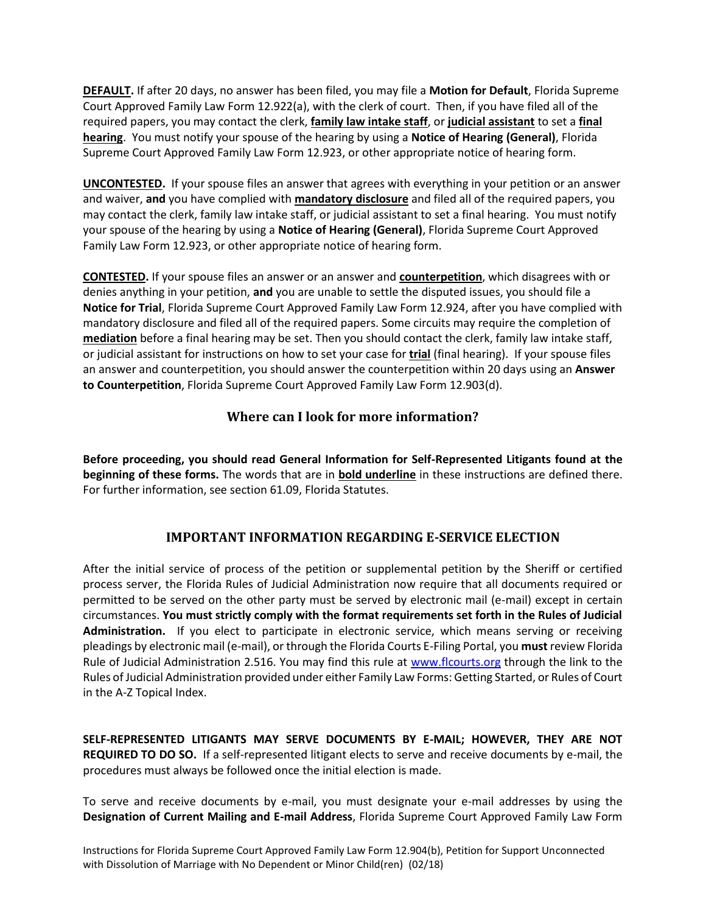Court Approved Family Law Form 12.922(a), with the clerk of court. Then, if you have filed all of the required papers, you may contact the clerk, **family law intake staff**, or **judicial assistant** to set a **final hearing**. You must notify your spouse of the hearing by using a **Notice of Hearing (General)**, Florida **DEFAULT.** If after 20 days, no answer has been filed, you may file a **Motion for Default**, Florida Supreme Supreme Court Approved Family Law Form 12.923, or other appropriate notice of hearing form.

 may contact the clerk, family law intake staff, or judicial assistant to set a final hearing. You must notify Family Law Form 12.923, or other appropriate notice of hearing form. **UNCONTESTED.** If your spouse files an answer that agrees with everything in your petition or an answer and waiver, **and** you have complied with **mandatory disclosure** and filed all of the required papers, you your spouse of the hearing by using a **Notice of Hearing (General)**, Florida Supreme Court Approved

 **Notice for Trial**, Florida Supreme Court Approved Family Law Form 12.924, after you have complied with an answer and counterpetition, you should answer the counterpetition within 20 days using an **Answer to Counterpetition**, Florida Supreme Court Approved Family Law Form 12.903(d). **CONTESTED.** If your spouse files an answer or an answer and **counterpetition**, which disagrees with or denies anything in your petition, **and** you are unable to settle the disputed issues, you should file a mandatory disclosure and filed all of the required papers. Some circuits may require the completion of **mediation** before a final hearing may be set. Then you should contact the clerk, family law intake staff, or judicial assistant for instructions on how to set your case for **trial** (final hearing). If your spouse files

#### **Where can I look for more information?**

 **Before proceeding, you should read General Information for Self-Represented Litigants found at the beginning of these forms.** The words that are in **bold underline** in these instructions are defined there. For further information, see section 61.09, Florida Statutes.

## **IMPORTANT INFORMATION REGARDING E-SERVICE ELECTION**

 After the initial service of process of the petition or supplemental petition by the Sheriff or certified process server, the Florida Rules of Judicial Administration now require that all documents required or permitted to be served on the other party must be served by electronic mail (e-mail) except in certain  circumstances. **You must strictly comply with the format requirements set forth in the Rules of Judicial Administration.** If you elect to participate in electronic service, which means serving or receiving pleadings by electronic mail (e-mail), or through the Florida Courts E-Filing Portal, you **must** review Florida Rule of Judicial Administration 2.516. You may find this rule at **www.flcourts.org** through the link to the Rules of Judicial Administration provided under either Family Law Forms: Getting Started, or Rules of Court in the A-Z Topical Index.

 **SELF-REPRESENTED LITIGANTS MAY SERVE DOCUMENTS BY E-MAIL; HOWEVER, THEY ARE NOT REQUIRED TO DO SO.** If a self-represented litigant elects to serve and receive documents by e-mail, the procedures must always be followed once the initial election is made.

 To serve and receive documents by e-mail, you must designate your e-mail addresses by using the  **Designation of Current Mailing and E-mail Address**, Florida Supreme Court Approved Family Law Form

 with Dissolution of Marriage with No Dependent or Minor Child(ren) (02/18) Instructions for Florida Supreme Court Approved Family Law Form 12.904(b), Petition for Support Unconnected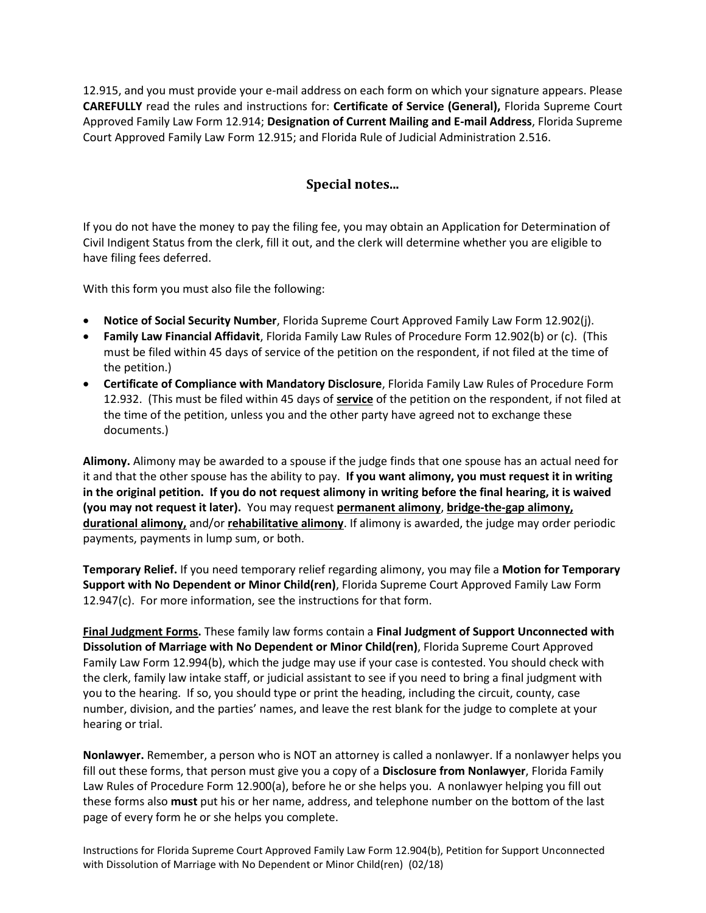12.915, and you must provide your e-mail address on each form on which your signature appears. Please **CAREFULLY** read the rules and instructions for: **Certificate of Service (General),** Florida Supreme Court Approved Family Law Form 12.914; **Designation of Current Mailing and E-mail Address**, Florida Supreme Court Approved Family Law Form 12.915; and Florida Rule of Judicial Administration 2.516.

## **Special notes...**

If you do not have the money to pay the filing fee, you may obtain an Application for Determination of Civil Indigent Status from the clerk, fill it out, and the clerk will determine whether you are eligible to have filing fees deferred.

With this form you must also file the following:

- **Notice of Social Security Number**, Florida Supreme Court Approved Family Law Form 12.902(j).
- **Family Law Financial Affidavit**, Florida Family Law Rules of Procedure Form 12.902(b) or (c). (This must be filed within 45 days of service of the petition on the respondent, if not filed at the time of the petition.)
- **Certificate of Compliance with Mandatory Disclosure**, Florida Family Law Rules of Procedure Form 12.932. (This must be filed within 45 days of **service** of the petition on the respondent, if not filed at the time of the petition, unless you and the other party have agreed not to exchange these documents.)

 **Alimony.** Alimony may be awarded to a spouse if the judge finds that one spouse has an actual need for  it and that the other spouse has the ability to pay. **If you want alimony, you must request it in writing in the original petition. If you do not request alimony in writing before the final hearing, it is waived (you may not request it later).** You may request **permanent alimony**, **bridge-the-gap alimony, durational alimony,** and/or **rehabilitative alimony**. If alimony is awarded, the judge may order periodic payments, payments in lump sum, or both.

**Temporary Relief.** If you need temporary relief regarding alimony, you may file a **Motion for Temporary Support with No Dependent or Minor Child(ren)**, Florida Supreme Court Approved Family Law Form 12.947(c). For more information, see the instructions for that form.

 Family Law Form 12.994(b), which the judge may use if your case is contested. You should check with you to the hearing. If so, you should type or print the heading, including the circuit, county, case **Final Judgment Forms.** These family law forms contain a **Final Judgment of Support Unconnected with Dissolution of Marriage with No Dependent or Minor Child(ren)**, Florida Supreme Court Approved the clerk, family law intake staff, or judicial assistant to see if you need to bring a final judgment with number, division, and the parties' names, and leave the rest blank for the judge to complete at your hearing or trial.

 Law Rules of Procedure Form 12.900(a), before he or she helps you. A nonlawyer helping you fill out these forms also **must** put his or her name, address, and telephone number on the bottom of the last **Nonlawyer.** Remember, a person who is NOT an attorney is called a nonlawyer. If a nonlawyer helps you fill out these forms, that person must give you a copy of a **Disclosure from Nonlawyer**, Florida Family page of every form he or she helps you complete.

 with Dissolution of Marriage with No Dependent or Minor Child(ren) (02/18) Instructions for Florida Supreme Court Approved Family Law Form 12.904(b), Petition for Support Unconnected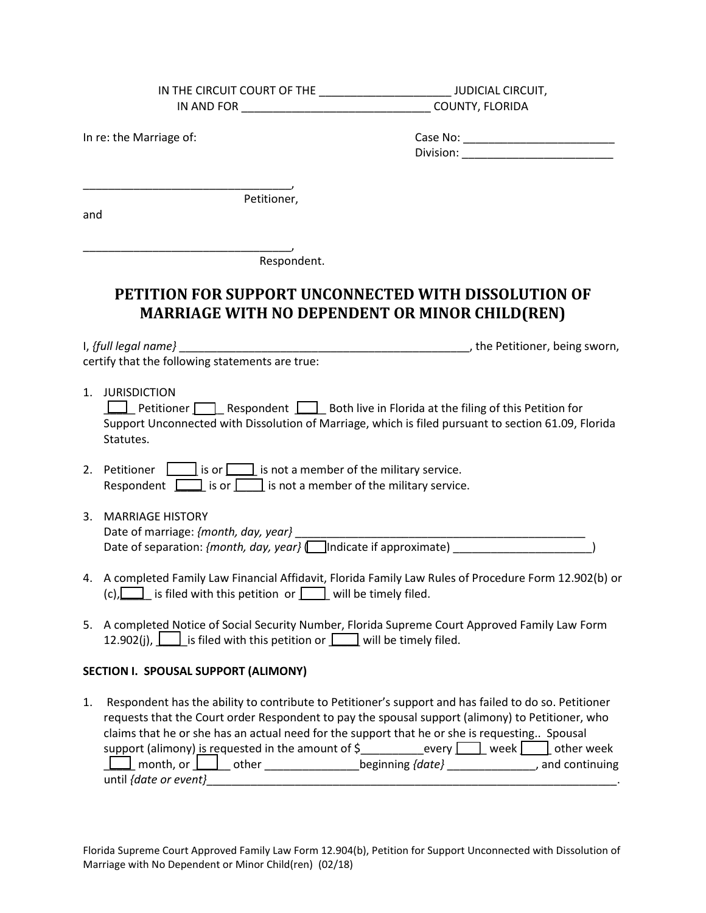|     | IN THE CIRCUIT COURT OF THE ____________________________JUDICIAL CIRCUIT,                                                                                                                                                                                                                                                                                                                                                                                                                                                                                                                                |  |  |
|-----|----------------------------------------------------------------------------------------------------------------------------------------------------------------------------------------------------------------------------------------------------------------------------------------------------------------------------------------------------------------------------------------------------------------------------------------------------------------------------------------------------------------------------------------------------------------------------------------------------------|--|--|
|     | In re: the Marriage of:                                                                                                                                                                                                                                                                                                                                                                                                                                                                                                                                                                                  |  |  |
| and | Petitioner,                                                                                                                                                                                                                                                                                                                                                                                                                                                                                                                                                                                              |  |  |
|     |                                                                                                                                                                                                                                                                                                                                                                                                                                                                                                                                                                                                          |  |  |
|     | Respondent.                                                                                                                                                                                                                                                                                                                                                                                                                                                                                                                                                                                              |  |  |
|     | PETITION FOR SUPPORT UNCONNECTED WITH DISSOLUTION OF<br><b>MARRIAGE WITH NO DEPENDENT OR MINOR CHILD(REN)</b>                                                                                                                                                                                                                                                                                                                                                                                                                                                                                            |  |  |
|     | certify that the following statements are true:                                                                                                                                                                                                                                                                                                                                                                                                                                                                                                                                                          |  |  |
|     | 1. JURISDICTION<br><b>D</b> Petitioner Respondent Both live in Florida at the filing of this Petition for<br>Support Unconnected with Dissolution of Marriage, which is filed pursuant to section 61.09, Florida<br>Statutes.                                                                                                                                                                                                                                                                                                                                                                            |  |  |
|     | 2. Petitioner $\boxed{\phantom{a}}$ is or $\boxed{\phantom{a}}$ is not a member of the military service.<br>Respondent $\boxed{\phantom{1}}$ is or $\boxed{\phantom{1}}$ is not a member of the military service.                                                                                                                                                                                                                                                                                                                                                                                        |  |  |
|     | 3. MARRIAGE HISTORY<br>Date of marriage: {month, day, year} _________                                                                                                                                                                                                                                                                                                                                                                                                                                                                                                                                    |  |  |
|     | 4. A completed Family Law Financial Affidavit, Florida Family Law Rules of Procedure Form 12.902(b) or<br>$(c)$ , is filed with this petition or will be timely filed.                                                                                                                                                                                                                                                                                                                                                                                                                                   |  |  |
|     | 5. A completed Notice of Social Security Number, Florida Supreme Court Approved Family Law Form<br>12.902(j), $\boxed{\phantom{a}}$ is filed with this petition or $\boxed{\phantom{a}}$ will be timely filed.                                                                                                                                                                                                                                                                                                                                                                                           |  |  |
|     | SECTION I. SPOUSAL SUPPORT (ALIMONY)                                                                                                                                                                                                                                                                                                                                                                                                                                                                                                                                                                     |  |  |
| 1.  | Respondent has the ability to contribute to Petitioner's support and has failed to do so. Petitioner<br>requests that the Court order Respondent to pay the spousal support (alimony) to Petitioner, who<br>claims that he or she has an actual need for the support that he or she is requesting Spousal<br>support (alimony) is requested in the amount of \$________every [asset Reek [asset Reek Reek<br>$\boxed{\underline{\hspace{1cm}}\phantom{\hspace{1cm}}}\mod\,}$ month, or $\boxed{\hspace{1cm}}\phantom{\hspace{1cm}}$ other ________________beginning {date} _____________, and continuing |  |  |

 Marriage with No Dependent or Minor Child(ren) (02/18) Florida Supreme Court Approved Family Law Form 12.904(b), Petition for Support Unconnected with Dissolution of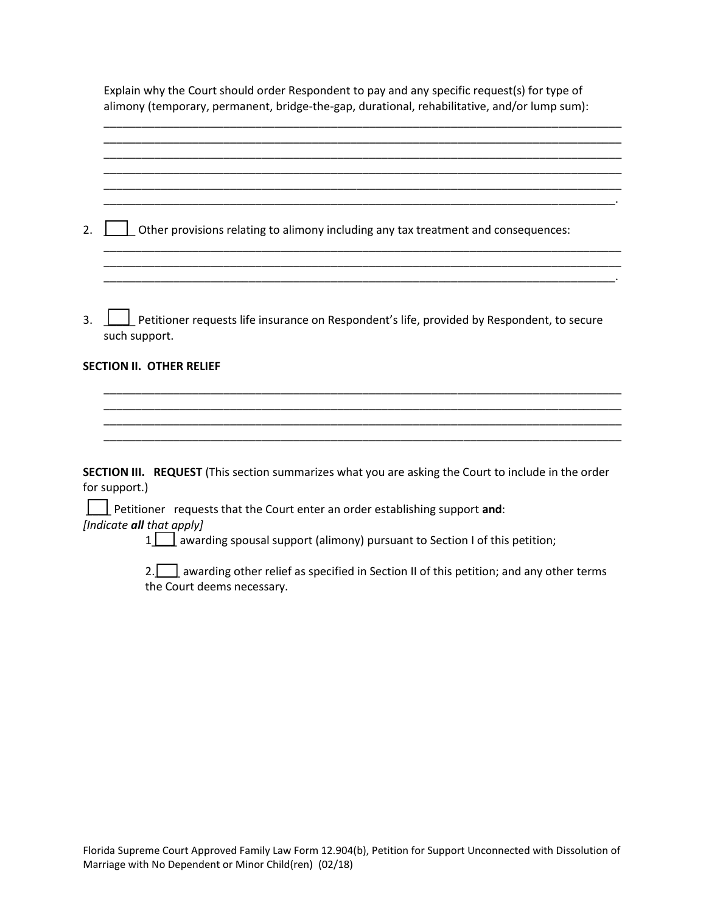|    | Explain why the Court should order Respondent to pay and any specific request(s) for type of<br>alimony (temporary, permanent, bridge-the-gap, durational, rehabilitative, and/or lump sum):                    |  |  |
|----|-----------------------------------------------------------------------------------------------------------------------------------------------------------------------------------------------------------------|--|--|
|    |                                                                                                                                                                                                                 |  |  |
|    |                                                                                                                                                                                                                 |  |  |
| 2. | Other provisions relating to alimony including any tax treatment and consequences:                                                                                                                              |  |  |
|    |                                                                                                                                                                                                                 |  |  |
| 3. | Petitioner requests life insurance on Respondent's life, provided by Respondent, to secure<br>such support.                                                                                                     |  |  |
|    | <b>SECTION II. OTHER RELIEF</b>                                                                                                                                                                                 |  |  |
|    |                                                                                                                                                                                                                 |  |  |
|    | <b>SECTION III. REQUEST</b> (This section summarizes what you are asking the Court to include in the order<br>for support.)                                                                                     |  |  |
|    | Petitioner requests that the Court enter an order establishing support and:<br>[Indicate all that apply]<br>$\Box$ awarding spousal support (alimony) pursuant to Section I of this petition;<br>1 <sup>1</sup> |  |  |
|    | awarding other relief as specified in Section II of this petition; and any other terms<br>2.1<br>the Court deems necessary.                                                                                     |  |  |